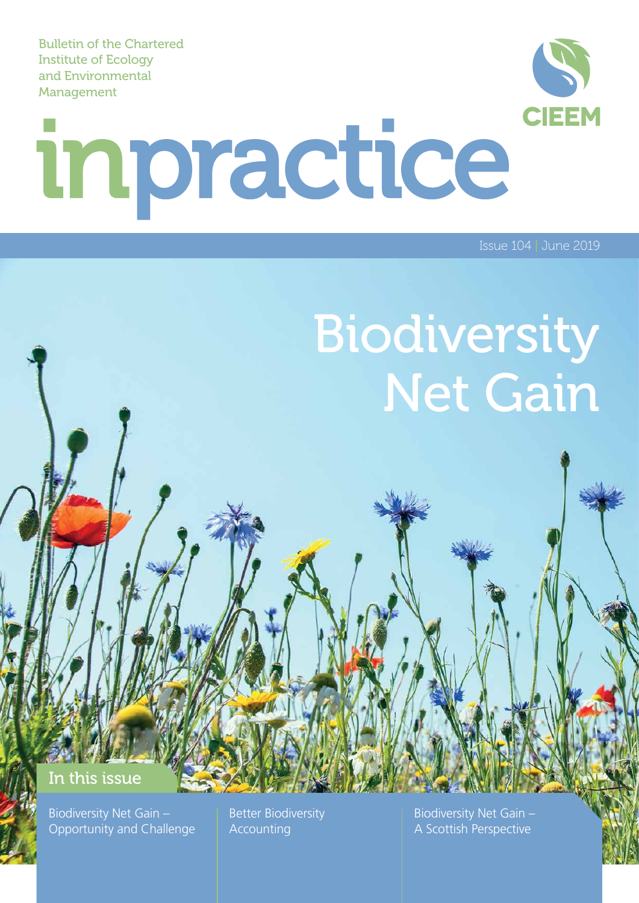Bulletin of the Chartered Institute of Ecology and Environmental Management

# **CIEEM** inpractice

Issue 104 | June 2019

## Biodiversity Net Gain

### In this issue

Biodiversity Net Gain – Opportunity and Challenge

Better Biodiversity Accounting

Biodiversity Net Gain – A Scottish Perspective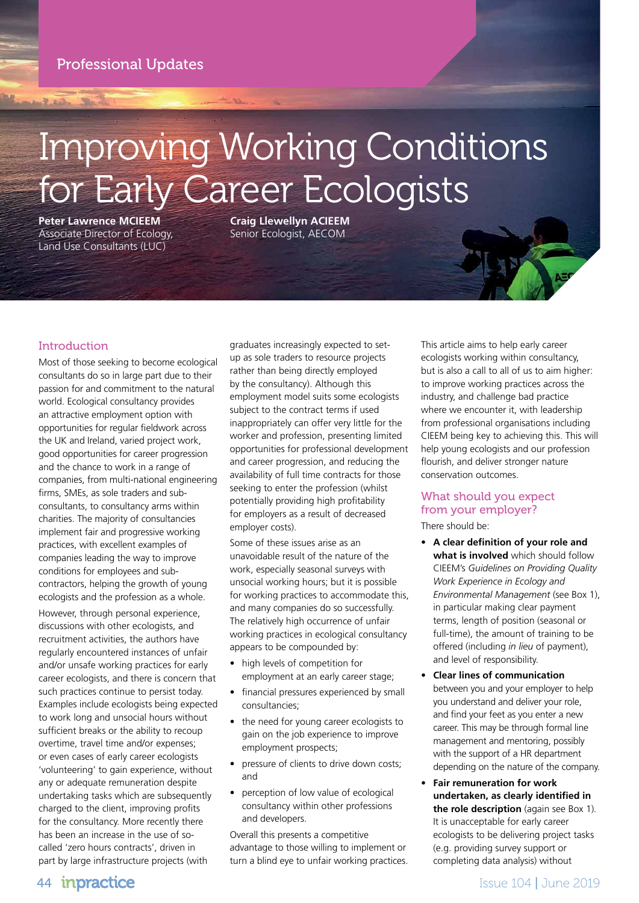Professional Updates

## Improving Working Conditions for Early Career Ecologists

**Peter Lawrence MCIEEM** Associate Director of Ecology, Land Use Consultants (LUC)

**Craig Llewellyn ACIEEM** Senior Ecologist, AECOM

### Introduction

Most of those seeking to become ecological consultants do so in large part due to their passion for and commitment to the natural world. Ecological consultancy provides an attractive employment option with opportunities for regular fieldwork across the UK and Ireland, varied project work, good opportunities for career progression and the chance to work in a range of companies, from multi-national engineering firms, SMEs, as sole traders and subconsultants, to consultancy arms within charities. The majority of consultancies implement fair and progressive working practices, with excellent examples of companies leading the way to improve conditions for employees and subcontractors, helping the growth of young ecologists and the profession as a whole.

However, through personal experience, discussions with other ecologists, and recruitment activities, the authors have regularly encountered instances of unfair and/or unsafe working practices for early career ecologists, and there is concern that such practices continue to persist today. Examples include ecologists being expected to work long and unsocial hours without sufficient breaks or the ability to recoup overtime, travel time and/or expenses; or even cases of early career ecologists 'volunteering' to gain experience, without any or adequate remuneration despite undertaking tasks which are subsequently charged to the client, improving profits for the consultancy. More recently there has been an increase in the use of socalled 'zero hours contracts', driven in part by large infrastructure projects (with

graduates increasingly expected to setup as sole traders to resource projects rather than being directly employed by the consultancy). Although this employment model suits some ecologists subject to the contract terms if used inappropriately can offer very little for the worker and profession, presenting limited opportunities for professional development and career progression, and reducing the availability of full time contracts for those seeking to enter the profession (whilst potentially providing high profitability for employers as a result of decreased employer costs).

Some of these issues arise as an unavoidable result of the nature of the work, especially seasonal surveys with unsocial working hours; but it is possible for working practices to accommodate this, and many companies do so successfully. The relatively high occurrence of unfair working practices in ecological consultancy appears to be compounded by:

- high levels of competition for employment at an early career stage;
- financial pressures experienced by small consultancies;
- the need for young career ecologists to gain on the job experience to improve employment prospects;
- pressure of clients to drive down costs; and
- perception of low value of ecological consultancy within other professions and developers.

Overall this presents a competitive advantage to those willing to implement or turn a blind eye to unfair working practices. This article aims to help early career ecologists working within consultancy, but is also a call to all of us to aim higher: to improve working practices across the industry, and challenge bad practice where we encounter it, with leadership from professional organisations including CIEEM being key to achieving this. This will help young ecologists and our profession flourish, and deliver stronger nature conservation outcomes.

### What should you expect from your employer?

There should be:

- **• A clear definition of your role and what is involved** which should follow CIEEM's *Guidelines on Providing Quality Work Experience in Ecology and Environmental Management* (see Box 1), in particular making clear payment terms, length of position (seasonal or full-time), the amount of training to be offered (including *in lieu* of payment), and level of responsibility.
- **• Clear lines of communication** between you and your employer to help you understand and deliver your role, and find your feet as you enter a new career. This may be through formal line management and mentoring, possibly with the support of a HR department depending on the nature of the company.
- **• Fair remuneration for work undertaken, as clearly identified in the role description** (again see Box 1)*.* It is unacceptable for early career ecologists to be delivering project tasks (e.g. providing survey support or completing data analysis) without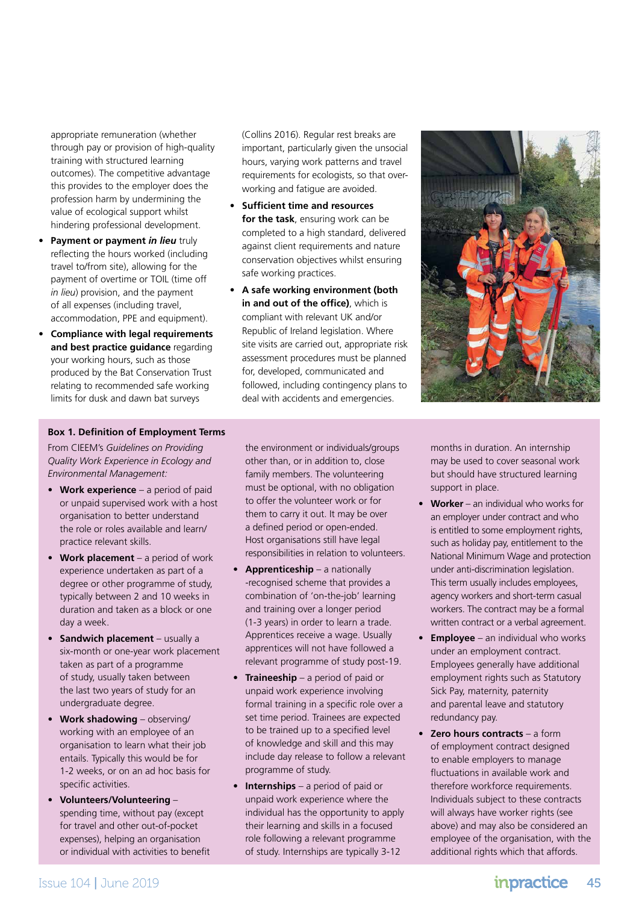appropriate remuneration (whether through pay or provision of high-quality training with structured learning outcomes). The competitive advantage this provides to the employer does the profession harm by undermining the value of ecological support whilst hindering professional development.

- **• Payment or payment** *in lieu* truly reflecting the hours worked (including travel to/from site), allowing for the payment of overtime or TOIL (time off *in lieu*) provision, and the payment of all expenses (including travel, accommodation, PPE and equipment).
- **• Compliance with legal requirements and best practice guidance** regarding your working hours, such as those produced by the Bat Conservation Trust relating to recommended safe working limits for dusk and dawn bat surveys

(Collins 2016). Regular rest breaks are important, particularly given the unsocial hours, varying work patterns and travel requirements for ecologists, so that overworking and fatigue are avoided.

- **• Sufficient time and resources for the task**, ensuring work can be completed to a high standard, delivered against client requirements and nature conservation objectives whilst ensuring safe working practices.
- **• A safe working environment (both in and out of the office)**, which is compliant with relevant UK and/or Republic of Ireland legislation. Where site visits are carried out, appropriate risk assessment procedures must be planned for, developed, communicated and followed, including contingency plans to deal with accidents and emergencies.



#### **Box 1. Definition of Employment Terms**

From CIEEM's *Guidelines on Providing Quality Work Experience in Ecology and Environmental Management:*

- **• Work experience** a period of paid or unpaid supervised work with a host organisation to better understand the role or roles available and learn/ practice relevant skills.
- **• Work placement** a period of work experience undertaken as part of a degree or other programme of study, typically between 2 and 10 weeks in duration and taken as a block or one day a week.
- **• Sandwich placement** usually a six-month or one-year work placement taken as part of a programme of study, usually taken between the last two years of study for an undergraduate degree.
- **• Work shadowing** observing/ working with an employee of an organisation to learn what their job entails. Typically this would be for 1-2 weeks, or on an ad hoc basis for specific activities.
- **• Volunteers/Volunteering** spending time, without pay (except for travel and other out-of-pocket expenses), helping an organisation or individual with activities to benefit

the environment or individuals/groups other than, or in addition to, close family members. The volunteering must be optional, with no obligation to offer the volunteer work or for them to carry it out. It may be over a defined period or open-ended. Host organisations still have legal responsibilities in relation to volunteers.

- **• Apprenticeship** a nationally -recognised scheme that provides a combination of 'on-the-job' learning and training over a longer period (1-3 years) in order to learn a trade. Apprentices receive a wage. Usually apprentices will not have followed a relevant programme of study post-19.
- **• Traineeship** a period of paid or unpaid work experience involving formal training in a specific role over a set time period. Trainees are expected to be trained up to a specified level of knowledge and skill and this may include day release to follow a relevant programme of study.
- **• Internships** a period of paid or unpaid work experience where the individual has the opportunity to apply their learning and skills in a focused role following a relevant programme of study. Internships are typically 3-12

months in duration. An internship may be used to cover seasonal work but should have structured learning support in place.

- **• Worker** an individual who works for an employer under contract and who is entitled to some employment rights, such as holiday pay, entitlement to the National Minimum Wage and protection under anti-discrimination legislation. This term usually includes employees, agency workers and short-term casual workers. The contract may be a formal written contract or a verbal agreement.
- **• Employee** an individual who works under an employment contract. Employees generally have additional employment rights such as Statutory Sick Pay, maternity, paternity and parental leave and statutory redundancy pay.
- **• Zero hours contracts** a form of employment contract designed to enable employers to manage fluctuations in available work and therefore workforce requirements. Individuals subject to these contracts will always have worker rights (see above) and may also be considered an employee of the organisation, with the additional rights which that affords.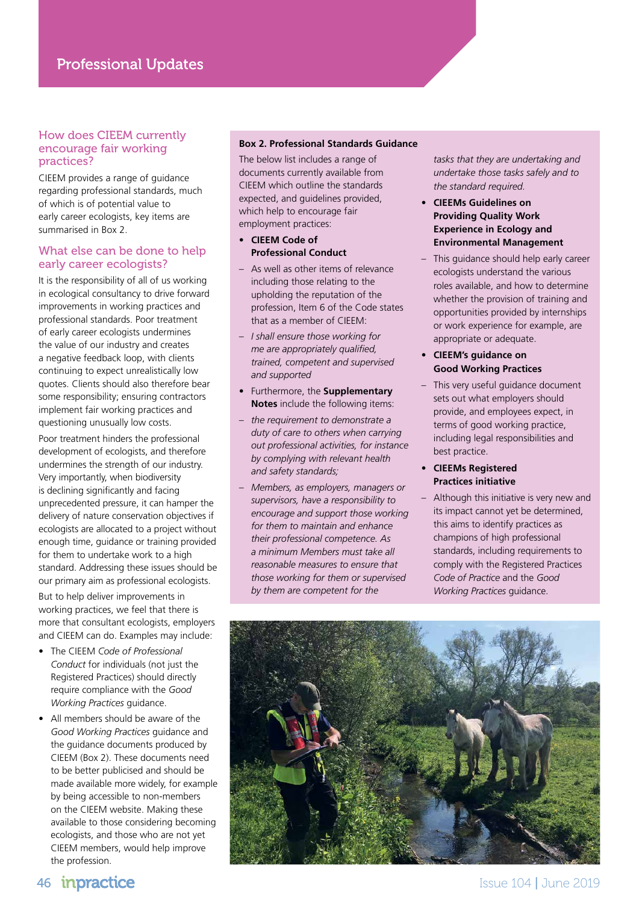#### How does CIEEM currently encourage fair working practices?

CIEEM provides a range of guidance regarding professional standards, much of which is of potential value to early career ecologists, key items are summarised in Box 2.

#### What else can be done to help early career ecologists?

It is the responsibility of all of us working in ecological consultancy to drive forward improvements in working practices and professional standards. Poor treatment of early career ecologists undermines the value of our industry and creates a negative feedback loop, with clients continuing to expect unrealistically low quotes. Clients should also therefore bear some responsibility; ensuring contractors implement fair working practices and questioning unusually low costs.

Poor treatment hinders the professional development of ecologists, and therefore undermines the strength of our industry. Very importantly, when biodiversity is declining significantly and facing unprecedented pressure, it can hamper the delivery of nature conservation objectives if ecologists are allocated to a project without enough time, guidance or training provided for them to undertake work to a high standard. Addressing these issues should be our primary aim as professional ecologists.

But to help deliver improvements in working practices, we feel that there is more that consultant ecologists, employers and CIEEM can do. Examples may include:

- The CIEEM *Code of Professional Conduct* for individuals (not just the Registered Practices) should directly require compliance with the *Good Working Practices* guidance.
- All members should be aware of the *Good Working Practices* guidance and the guidance documents produced by CIEEM (Box 2). These documents need to be better publicised and should be made available more widely, for example by being accessible to non-members on the CIEEM website. Making these available to those considering becoming ecologists, and those who are not yet CIEEM members, would help improve the profession.

#### **Box 2. Professional Standards Guidance**

The below list includes a range of documents currently available from CIEEM which outline the standards expected, and guidelines provided, which help to encourage fair employment practices:

- **• CIEEM Code of Professional Conduct**
- As well as other items of relevance including those relating to the upholding the reputation of the profession, Item 6 of the Code states that as a member of CIEEM:
- *I shall ensure those working for me are appropriately qualified, trained, competent and supervised and supported*
- Furthermore, the **Supplementary Notes** include the following items:
- *the requirement to demonstrate a duty of care to others when carrying out professional activities, for instance by complying with relevant health and safety standards;*
- *Members, as employers, managers or supervisors, have a responsibility to encourage and support those working for them to maintain and enhance their professional competence. As a minimum Members must take all reasonable measures to ensure that those working for them or supervised by them are competent for the*

*tasks that they are undertaking and undertake those tasks safely and to the standard required.*

- **• CIEEMs Guidelines on Providing Quality Work Experience in Ecology and Environmental Management**
- This guidance should help early career ecologists understand the various roles available, and how to determine whether the provision of training and opportunities provided by internships or work experience for example, are appropriate or adequate.
- **CIEEM's guidance on Good Working Practices**
- This very useful quidance document sets out what employers should provide, and employees expect, in terms of good working practice, including legal responsibilities and best practice.

#### • **CIEEMs Registered Practices initiative**

– Although this initiative is very new and its impact cannot yet be determined, this aims to identify practices as champions of high professional standards, including requirements to comply with the Registered Practices *Code of Practice* and the *Good Working Practices* guidance.